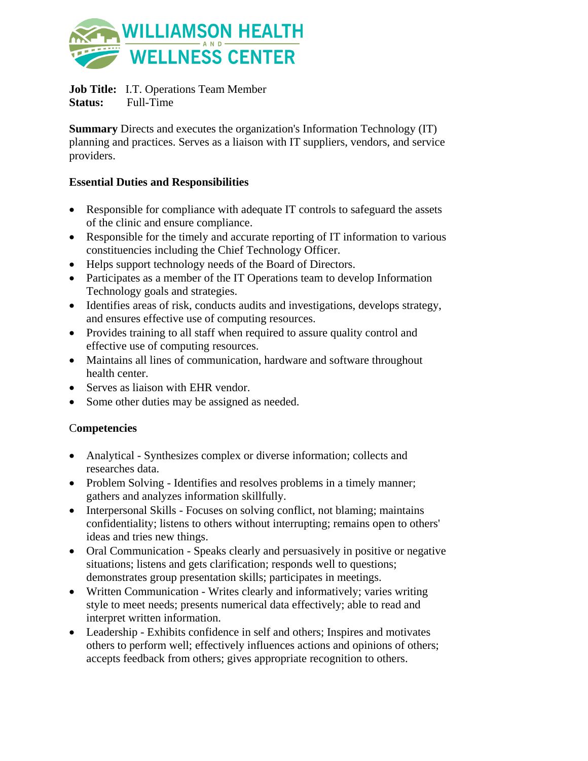

**Job Title:** I.T. Operations Team Member

**Status:** Full-Time

**Summary** Directs and executes the organization's Information Technology (IT) planning and practices. Serves as a liaison with IT suppliers, vendors, and service providers.

## **Essential Duties and Responsibilities**

- Responsible for compliance with adequate IT controls to safeguard the assets of the clinic and ensure compliance.
- Responsible for the timely and accurate reporting of IT information to various constituencies including the Chief Technology Officer.
- Helps support technology needs of the Board of Directors.
- Participates as a member of the IT Operations team to develop Information Technology goals and strategies.
- Identifies areas of risk, conducts audits and investigations, develops strategy, and ensures effective use of computing resources.
- Provides training to all staff when required to assure quality control and effective use of computing resources.
- Maintains all lines of communication, hardware and software throughout health center.
- Serves as liaison with EHR vendor.
- Some other duties may be assigned as needed.

## C**ompetencies**

- Analytical Synthesizes complex or diverse information; collects and researches data.
- Problem Solving Identifies and resolves problems in a timely manner; gathers and analyzes information skillfully.
- Interpersonal Skills Focuses on solving conflict, not blaming; maintains confidentiality; listens to others without interrupting; remains open to others' ideas and tries new things.
- Oral Communication Speaks clearly and persuasively in positive or negative situations; listens and gets clarification; responds well to questions; demonstrates group presentation skills; participates in meetings.
- Written Communication Writes clearly and informatively; varies writing style to meet needs; presents numerical data effectively; able to read and interpret written information.
- Leadership Exhibits confidence in self and others; Inspires and motivates others to perform well; effectively influences actions and opinions of others; accepts feedback from others; gives appropriate recognition to others.